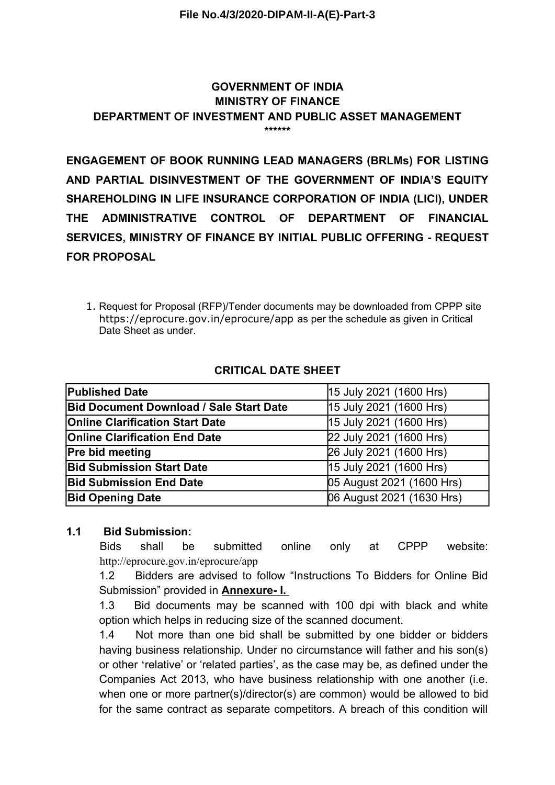### **GOVERNMENT OF INDIA MINISTRY OF FINANCE DEPARTMENT OF INVESTMENT AND PUBLIC ASSET MANAGEMENT \*\*\*\*\*\***

**ENGAGEMENT OF BOOK RUNNING LEAD MANAGERS (BRLMs) FOR LISTING AND PARTIAL DISINVESTMENT OF THE GOVERNMENT OF INDIA'S EQUITY SHAREHOLDING IN LIFE INSURANCE CORPORATION OF INDIA (LICI), UNDER THE ADMINISTRATIVE CONTROL OF DEPARTMENT OF FINANCIAL SERVICES, MINISTRY OF FINANCE BY INITIAL PUBLIC OFFERING - REQUEST FOR PROPOSAL**

1. Request for Proposal (RFP)/Tender documents may be downloaded from CPPP site https://eprocure.gov.in/eprocure/app as per the schedule as given in Critical Date Sheet as under.

| <b>Published Date</b>                          | 15 July 2021 (1600 Hrs)   |
|------------------------------------------------|---------------------------|
| <b>Bid Document Download / Sale Start Date</b> | 15 July 2021 (1600 Hrs)   |
| <b>Online Clarification Start Date</b>         | 15 July 2021 (1600 Hrs)   |
| <b>Online Clarification End Date</b>           | 22 July 2021 (1600 Hrs)   |
| <b>Pre bid meeting</b>                         | 26 July 2021 (1600 Hrs)   |
| <b>Bid Submission Start Date</b>               | 15 July 2021 (1600 Hrs)   |
| <b>Bid Submission End Date</b>                 | 05 August 2021 (1600 Hrs) |
| <b>Bid Opening Date</b>                        | 06 August 2021 (1630 Hrs) |

## **CRITICAL DATE SHEET**

## **1.1 Bid Submission:**

Bids shall be submitted online only at CPPP website: http://eprocure.gov.in/eprocure/app

1.2 Bidders are advised to follow "Instructions To Bidders for Online Bid Submission" provided in **Annexure- I.** 

1.3 Bid documents may be scanned with 100 dpi with black and white option which helps in reducing size of the scanned document.

1.4 Not more than one bid shall be submitted by one bidder or bidders having business relationship. Under no circumstance will father and his son(s) or other 'relative' or 'related parties', as the case may be, as defined under the Companies Act 2013, who have business relationship with one another (i.e. when one or more partner(s)/director(s) are common) would be allowed to bid for the same contract as separate competitors. A breach of this condition will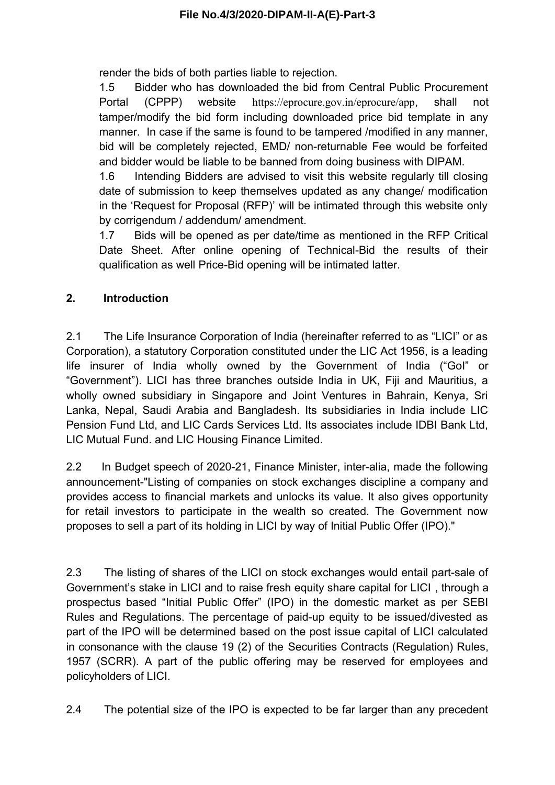render the bids of both parties liable to rejection.

1.5 Bidder who has downloaded the bid from Central Public Procurement Portal (CPPP) website https://eprocure.gov.in/eprocure/app, shall not tamper/modify the bid form including downloaded price bid template in any manner. In case if the same is found to be tampered /modified in any manner, bid will be completely rejected, EMD/ non-returnable Fee would be forfeited and bidder would be liable to be banned from doing business with DIPAM.

1.6 Intending Bidders are advised to visit this website regularly till closing date of submission to keep themselves updated as any change/ modification in the 'Request for Proposal (RFP)' will be intimated through this website only by corrigendum / addendum/ amendment.

1.7 Bids will be opened as per date/time as mentioned in the RFP Critical Date Sheet. After online opening of Technical-Bid the results of their qualification as well Price-Bid opening will be intimated latter.

# **2. Introduction**

2.1 The Life Insurance Corporation of India (hereinafter referred to as "LICI" or as Corporation), a statutory Corporation constituted under the LIC Act 1956, is a leading life insurer of India wholly owned by the Government of India ("GoI" or "Government"). LICI has three branches outside India in UK, Fiji and Mauritius, a wholly owned subsidiary in Singapore and Joint Ventures in Bahrain, Kenya, Sri Lanka, Nepal, Saudi Arabia and Bangladesh. Its subsidiaries in India include LIC Pension Fund Ltd, and LIC Cards Services Ltd. Its associates include IDBI Bank Ltd, LIC Mutual Fund. and LIC Housing Finance Limited.

2.2 In Budget speech of 2020-21, Finance Minister, inter-alia, made the following announcement-"Listing of companies on stock exchanges discipline a company and provides access to financial markets and unlocks its value. It also gives opportunity for retail investors to participate in the wealth so created. The Government now proposes to sell a part of its holding in LICI by way of Initial Public Offer (IPO)."

2.3 The listing of shares of the LICI on stock exchanges would entail part-sale of Government's stake in LICI and to raise fresh equity share capital for LICI , through a prospectus based "Initial Public Offer" (IPO) in the domestic market as per SEBI Rules and Regulations. The percentage of paid-up equity to be issued/divested as part of the IPO will be determined based on the post issue capital of LICI calculated in consonance with the clause 19 (2) of the Securities Contracts (Regulation) Rules, 1957 (SCRR). A part of the public offering may be reserved for employees and policyholders of LICI.

2.4 The potential size of the IPO is expected to be far larger than any precedent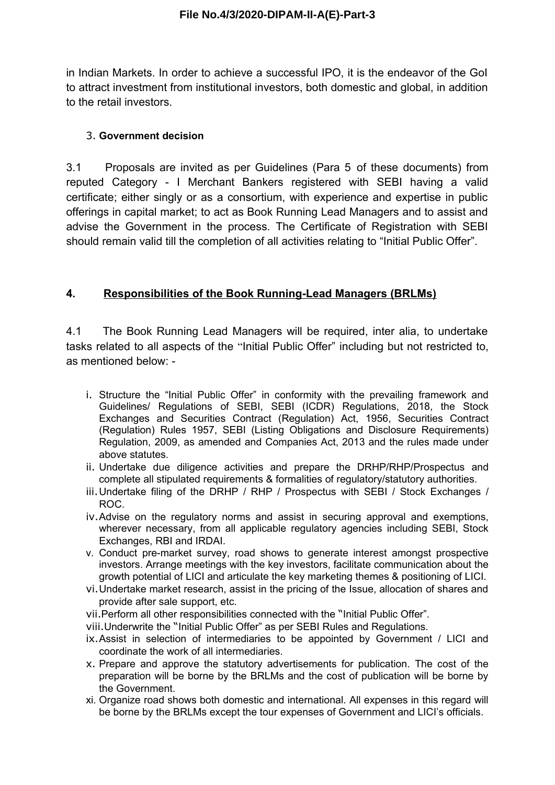in Indian Markets. In order to achieve a successful IPO, it is the endeavor of the GoI to attract investment from institutional investors, both domestic and global, in addition to the retail investors.

## 3. **Government decision**

3.1 Proposals are invited as per Guidelines (Para 5 of these documents) from reputed Category - I Merchant Bankers registered with SEBI having a valid certificate; either singly or as a consortium, with experience and expertise in public offerings in capital market; to act as Book Running Lead Managers and to assist and advise the Government in the process. The Certificate of Registration with SEBI should remain valid till the completion of all activities relating to "Initial Public Offer".

# **4. Responsibilities of the Book Running-Lead Managers (BRLMs)**

4.1 The Book Running Lead Managers will be required, inter alia, to undertake tasks related to all aspects of the "Initial Public Offer" including but not restricted to, as mentioned below: -

- i. Structure the "Initial Public Offer" in conformity with the prevailing framework and Guidelines/ Regulations of SEBI, SEBI (ICDR) Regulations, 2018, the Stock Exchanges and Securities Contract (Regulation) Act, 1956, Securities Contract (Regulation) Rules 1957, SEBI (Listing Obligations and Disclosure Requirements) Regulation, 2009, as amended and Companies Act, 2013 and the rules made under above statutes.
- ii. Undertake due diligence activities and prepare the DRHP/RHP/Prospectus and complete all stipulated requirements & formalities of regulatory/statutory authorities.
- iii.Undertake filing of the DRHP / RHP / Prospectus with SEBI / Stock Exchanges / ROC.
- iv.Advise on the regulatory norms and assist in securing approval and exemptions, wherever necessary, from all applicable regulatory agencies including SEBI, Stock Exchanges, RBI and IRDAI.
- v. Conduct pre-market survey, road shows to generate interest amongst prospective investors. Arrange meetings with the key investors, facilitate communication about the growth potential of LICI and articulate the key marketing themes & positioning of LICI.
- vi.Undertake market research, assist in the pricing of the Issue, allocation of shares and provide after sale support, etc.
- vii.Perform all other responsibilities connected with the "Initial Public Offer".
- viii. Underwrite the "Initial Public Offer" as per SEBI Rules and Regulations.
- ix.Assist in selection of intermediaries to be appointed by Government / LICI and coordinate the work of all intermediaries.
- x. Prepare and approve the statutory advertisements for publication. The cost of the preparation will be borne by the BRLMs and the cost of publication will be borne by the Government.
- xi. Organize road shows both domestic and international. All expenses in this regard will be borne by the BRLMs except the tour expenses of Government and LICI's officials.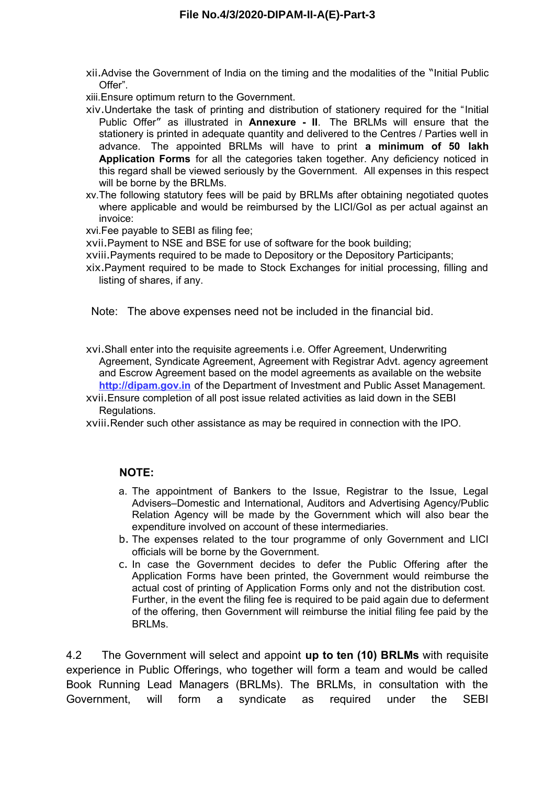xii.Advise the Government of India on the timing and the modalities of the "Initial Public Offer".

xiii.Ensure optimum return to the Government.

- xiv.Undertake the task of printing and distribution of stationery required for the "Initial Public Offer" as illustrated in **Annexure - II**. The BRLMs will ensure that the stationery is printed in adequate quantity and delivered to the Centres / Parties well in advance. The appointed BRLMs will have to print **a minimum of 50 lakh Application Forms** for all the categories taken together. Any deficiency noticed in this regard shall be viewed seriously by the Government. All expenses in this respect will be borne by the BRLMs.
- xv.The following statutory fees will be paid by BRLMs after obtaining negotiated quotes where applicable and would be reimbursed by the LICI/GoI as per actual against an invoice:

xvi.Fee payable to SEBI as filing fee;

xvii.Payment to NSE and BSE for use of software for the book building;

xviii.Payments required to be made to Depository or the Depository Participants;

xix.Payment required to be made to Stock Exchanges for initial processing, filling and listing of shares, if any.

Note: The above expenses need not be included in the financial bid.

- xvi.Shall enter into the requisite agreements i.e. Offer Agreement, Underwriting Agreement, Syndicate Agreement, Agreement with Registrar Advt. agency agreement and Escrow Agreement based on the model agreements as available on the website **http://dipam.gov.in** of the Department of Investment and Public Asset Management.
- xvii.Ensure completion of all post issue related activities as laid down in the SEBI Regulations.

xviii.Render such other assistance as may be required in connection with the IPO.

### **NOTE:**

- a. The appointment of Bankers to the Issue, Registrar to the Issue, Legal Advisers–Domestic and International, Auditors and Advertising Agency/Public Relation Agency will be made by the Government which will also bear the expenditure involved on account of these intermediaries.
- b. The expenses related to the tour programme of only Government and LICI officials will be borne by the Government.
- c. In case the Government decides to defer the Public Offering after the Application Forms have been printed, the Government would reimburse the actual cost of printing of Application Forms only and not the distribution cost. Further, in the event the filing fee is required to be paid again due to deferment of the offering, then Government will reimburse the initial filing fee paid by the BRLMs.

4.2 The Government will select and appoint **up to ten (10) BRLMs** with requisite experience in Public Offerings, who together will form a team and would be called Book Running Lead Managers (BRLMs). The BRLMs, in consultation with the Government, will form a syndicate as required under the SEBI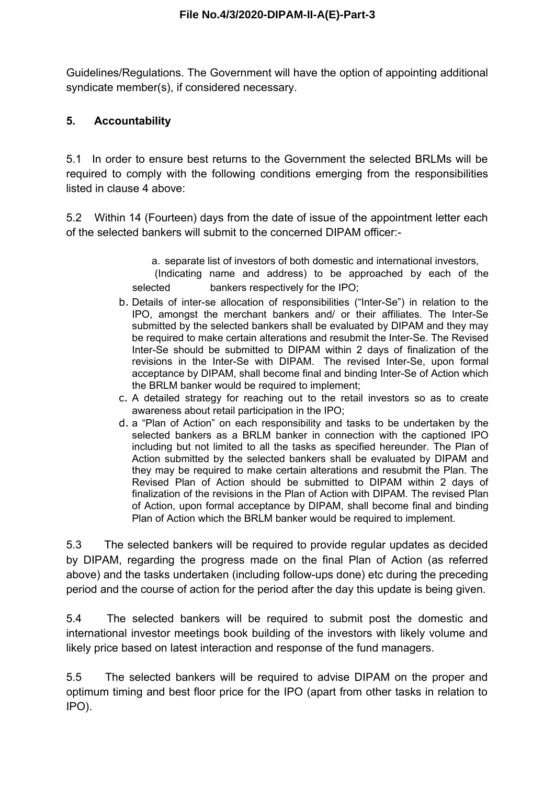Guidelines/Regulations. The Government will have the option of appointing additional syndicate member(s), if considered necessary.

# **5. Accountability**

5.1 In order to ensure best returns to the Government the selected BRLMs will be required to comply with the following conditions emerging from the responsibilities listed in clause 4 above:

5.2 Within 14 (Fourteen) days from the date of issue of the appointment letter each of the selected bankers will submit to the concerned DIPAM officer:-

> a. separate list of investors of both domestic and international investors, (Indicating name and address) to be approached by each of the selected bankers respectively for the IPO;

- b. Details of inter-se allocation of responsibilities ("Inter-Se") in relation to the IPO, amongst the merchant bankers and/ or their affiliates. The Inter-Se submitted by the selected bankers shall be evaluated by DIPAM and they may be required to make certain alterations and resubmit the Inter-Se. The Revised Inter-Se should be submitted to DIPAM within 2 days of finalization of the revisions in the Inter-Se with DIPAM. The revised Inter-Se, upon formal acceptance by DIPAM, shall become final and binding Inter-Se of Action which the BRLM banker would be required to implement;
- c. A detailed strategy for reaching out to the retail investors so as to create awareness about retail participation in the IPO;
- d. a "Plan of Action" on each responsibility and tasks to be undertaken by the selected bankers as a BRLM banker in connection with the captioned IPO including but not limited to all the tasks as specified hereunder. The Plan of Action submitted by the selected bankers shall be evaluated by DIPAM and they may be required to make certain alterations and resubmit the Plan. The Revised Plan of Action should be submitted to DIPAM within 2 days of finalization of the revisions in the Plan of Action with DIPAM. The revised Plan of Action, upon formal acceptance by DIPAM, shall become final and binding Plan of Action which the BRLM banker would be required to implement.

5.3 The selected bankers will be required to provide regular updates as decided by DIPAM, regarding the progress made on the final Plan of Action (as referred above) and the tasks undertaken (including follow-ups done) etc during the preceding period and the course of action for the period after the day this update is being given.

5.4 The selected bankers will be required to submit post the domestic and international investor meetings book building of the investors with likely volume and likely price based on latest interaction and response of the fund managers.

5.5 The selected bankers will be required to advise DIPAM on the proper and optimum timing and best floor price for the IPO (apart from other tasks in relation to IPO).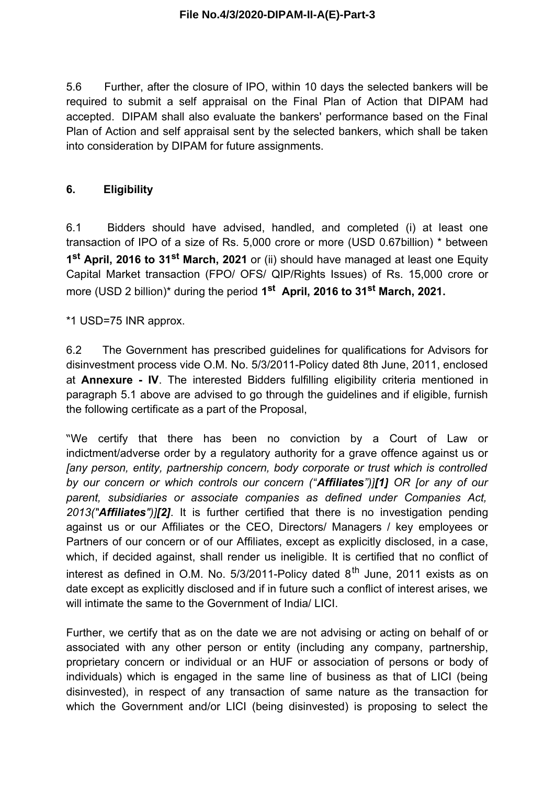5.6 Further, after the closure of IPO, within 10 days the selected bankers will be required to submit a self appraisal on the Final Plan of Action that DIPAM had accepted. DIPAM shall also evaluate the bankers' performance based on the Final Plan of Action and self appraisal sent by the selected bankers, which shall be taken into consideration by DIPAM for future assignments.

## **6. Eligibility**

6.1 Bidders should have advised, handled, and completed (i) at least one transaction of IPO of a size of Rs. 5,000 crore or more (USD 0.67billion) \* between **1 st April, 2016 to 31st March, 2021** or (ii) should have managed at least one Equity Capital Market transaction (FPO/ OFS/ QIP/Rights Issues) of Rs. 15,000 crore or more (USD 2 billion)\* during the period **1 st April, 2016 to 31st March, 2021.**

\*1 USD=75 INR approx.

6.2 The Government has prescribed guidelines for qualifications for Advisors for disinvestment process vide O.M. No. 5/3/2011-Policy dated 8th June, 2011, enclosed at **Annexure - IV**. The interested Bidders fulfilling eligibility criteria mentioned in paragraph 5.1 above are advised to go through the guidelines and if eligible, furnish the following certificate as a part of the Proposal,

"We certify that there has been no conviction by a Court of Law or indictment/adverse order by a regulatory authority for a grave offence against us or *[any person, entity, partnership concern, body corporate or trust which is controlled by our concern or which controls our concern ("Affiliates")][1] OR [or any of our parent, subsidiaries or associate companies as defined under Companies Act, 2013("Affiliates")][2]*. It is further certified that there is no investigation pending against us or our Affiliates or the CEO, Directors/ Managers / key employees or Partners of our concern or of our Affiliates, except as explicitly disclosed, in a case, which, if decided against, shall render us ineligible. It is certified that no conflict of interest as defined in O.M. No.  $5/3/2011$ -Policy dated  $8<sup>th</sup>$  June, 2011 exists as on date except as explicitly disclosed and if in future such a conflict of interest arises, we will intimate the same to the Government of India/ LICI.

Further, we certify that as on the date we are not advising or acting on behalf of or associated with any other person or entity (including any company, partnership, proprietary concern or individual or an HUF or association of persons or body of individuals) which is engaged in the same line of business as that of LICI (being disinvested), in respect of any transaction of same nature as the transaction for which the Government and/or LICI (being disinvested) is proposing to select the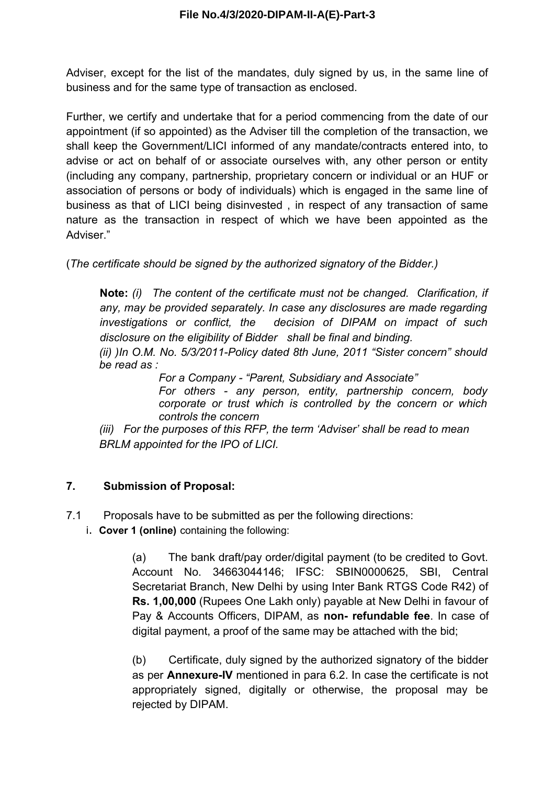Adviser, except for the list of the mandates, duly signed by us, in the same line of business and for the same type of transaction as enclosed.

Further, we certify and undertake that for a period commencing from the date of our appointment (if so appointed) as the Adviser till the completion of the transaction, we shall keep the Government/LICI informed of any mandate/contracts entered into, to advise or act on behalf of or associate ourselves with, any other person or entity (including any company, partnership, proprietary concern or individual or an HUF or association of persons or body of individuals) which is engaged in the same line of business as that of LICI being disinvested , in respect of any transaction of same nature as the transaction in respect of which we have been appointed as the Adviser."

(*The certificate should be signed by the authorized signatory of the Bidder.)*

**Note:** *(i) The content of the certificate must not be changed. Clarification, if any, may be provided separately. In case any disclosures are made regarding investigations or conflict, the decision of DIPAM on impact of such disclosure on the eligibility of Bidder shall be final and binding.*

*(ii) )In O.M. No. 5/3/2011-Policy dated 8th June, 2011 "Sister concern" should be read as :*

*For a Company - "Parent, Subsidiary and Associate"*

*For others - any person, entity, partnership concern, body corporate or trust which is controlled by the concern or which controls the concern*

*(iii) For the purposes of this RFP, the term 'Adviser' shall be read to mean BRLM appointed for the IPO of LICI.*

# **7. Submission of Proposal:**

- 7.1 Proposals have to be submitted as per the following directions:
	- i. **Cover 1 (online)** containing the following:

(a) The bank draft/pay order/digital payment (to be credited to Govt. Account No. 34663044146; IFSC: SBIN0000625, SBI, Central Secretariat Branch, New Delhi by using Inter Bank RTGS Code R42) of **Rs. 1,00,000** (Rupees One Lakh only) payable at New Delhi in favour of Pay & Accounts Officers, DIPAM, as **non- refundable fee**. In case of digital payment, a proof of the same may be attached with the bid;

(b) Certificate, duly signed by the authorized signatory of the bidder as per **Annexure-IV** mentioned in para 6.2. In case the certificate is not appropriately signed, digitally or otherwise, the proposal may be rejected by DIPAM.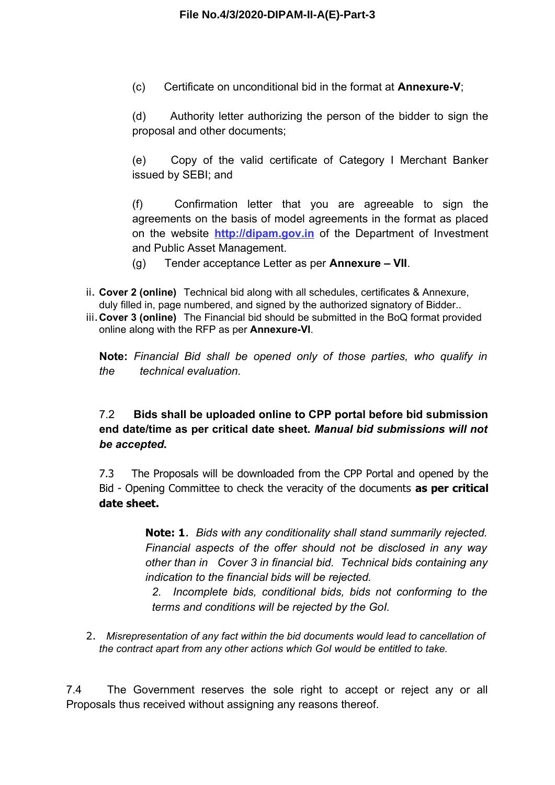(c) Certificate on unconditional bid in the format at **Annexure-V**;

(d) Authority letter authorizing the person of the bidder to sign the proposal and other documents;

(e) Copy of the valid certificate of Category I Merchant Banker issued by SEBI; and

(f) Confirmation letter that you are agreeable to sign the agreements on the basis of model agreements in the format as placed on the website **http://dipam.gov.in** of the Department of Investment and Public Asset Management.

(g) Tender acceptance Letter as per **Annexure – VII**.

- ii. **Cover 2 (online)** Technical bid along with all schedules, certificates & Annexure, duly filled in, page numbered, and signed by the authorized signatory of Bidder..
- iii.**Cover 3 (online)** The Financial bid should be submitted in the BoQ format provided online along with the RFP as per **Annexure-VI**.

**Note:** *Financial Bid shall be opened only of those parties, who qualify in the technical evaluation.* 

# 7.2 **Bids shall be uploaded online to CPP portal before bid submission end date/time as per critical date sheet.** *Manual bid submissions will not be accepted***.**

7.3 The Proposals will be downloaded from the CPP Portal and opened by the Bid - Opening Committee to check the veracity of the documents **as per critical date sheet.**

> **Note: 1**. *Bids with any conditionality shall stand summarily rejected. Financial aspects of the offer should not be disclosed in any way other than in Cover 3 in financial bid. Technical bids containing any indication to the financial bids will be rejected.*

*2. Incomplete bids, conditional bids, bids not conforming to the terms and conditions will be rejected by the GoI.*

2. *Misrepresentation of any fact within the bid documents would lead to cancellation of the contract apart from any other actions which GoI would be entitled to take.*

7.4 The Government reserves the sole right to accept or reject any or all Proposals thus received without assigning any reasons thereof.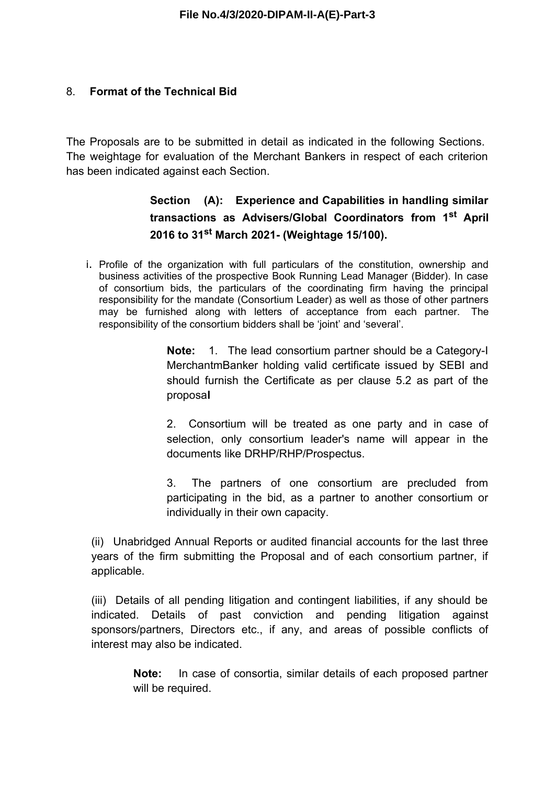## 8. **Format of the Technical Bid**

The Proposals are to be submitted in detail as indicated in the following Sections. The weightage for evaluation of the Merchant Bankers in respect of each criterion has been indicated against each Section.

# **Section (A): Experience and Capabilities in handling similar transactions as Advisers/Global Coordinators from 1st April 2016 to 31st March 2021- (Weightage 15/100).**

i. Profile of the organization with full particulars of the constitution, ownership and business activities of the prospective Book Running Lead Manager (Bidder). In case of consortium bids, the particulars of the coordinating firm having the principal responsibility for the mandate (Consortium Leader) as well as those of other partners may be furnished along with letters of acceptance from each partner. The responsibility of the consortium bidders shall be 'joint' and 'several'.

> **Note:** 1. The lead consortium partner should be a Category-I MerchantmBanker holding valid certificate issued by SEBI and should furnish the Certificate as per clause 5.2 as part of the proposa**l**

> 2. Consortium will be treated as one party and in case of selection, only consortium leader's name will appear in the documents like DRHP/RHP/Prospectus.

> 3. The partners of one consortium are precluded from participating in the bid, as a partner to another consortium or individually in their own capacity.

(ii) Unabridged Annual Reports or audited financial accounts for the last three years of the firm submitting the Proposal and of each consortium partner, if applicable.

(iii) Details of all pending litigation and contingent liabilities, if any should be indicated. Details of past conviction and pending litigation against sponsors/partners, Directors etc., if any, and areas of possible conflicts of interest may also be indicated.

> **Note:** In case of consortia, similar details of each proposed partner will be required.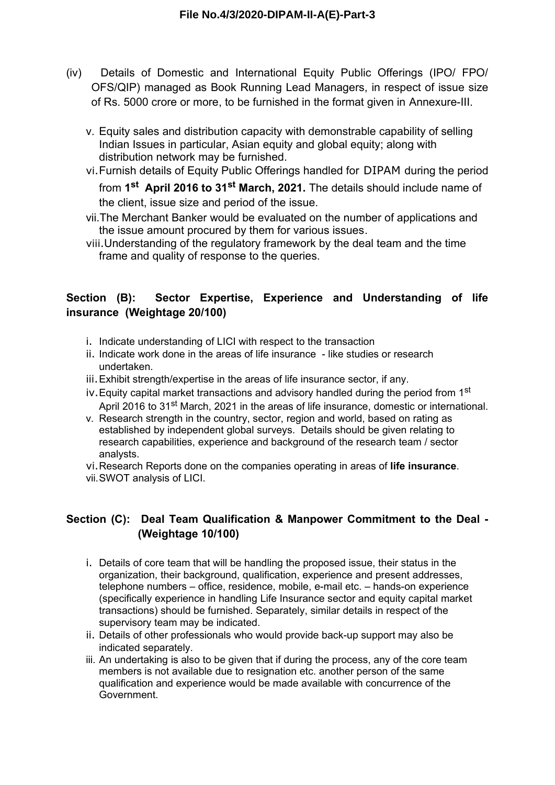- (iv) Details of Domestic and International Equity Public Offerings (IPO/ FPO/ OFS/QIP) managed as Book Running Lead Managers, in respect of issue size of Rs. 5000 crore or more, to be furnished in the format given in Annexure-III.
	- v. Equity sales and distribution capacity with demonstrable capability of selling Indian Issues in particular, Asian equity and global equity; along with distribution network may be furnished.
	- vi.Furnish details of Equity Public Offerings handled for DIPAM during the period from **1 st April 2016 to 31st March, 2021.** The details should include name of the client, issue size and period of the issue.
	- vii.The Merchant Banker would be evaluated on the number of applications and the issue amount procured by them for various issues.
	- viii.Understanding of the regulatory framework by the deal team and the time frame and quality of response to the queries.

# **Section (B): Sector Expertise, Experience and Understanding of life insurance (Weightage 20/100)**

- i. Indicate understanding of LICI with respect to the transaction
- ii. Indicate work done in the areas of life insurance like studies or research undertaken.
- iii.Exhibit strength/expertise in the areas of life insurance sector, if any.
- iv. Equity capital market transactions and advisory handled during the period from  $1<sup>st</sup>$ April 2016 to 31<sup>st</sup> March, 2021 in the areas of life insurance, domestic or international.
- v. Research strength in the country, sector, region and world, based on rating as established by independent global surveys. Details should be given relating to research capabilities, experience and background of the research team / sector analysts.
- vi.Research Reports done on the companies operating in areas of **life insurance**. vii.SWOT analysis of LICI.

# **Section (C): Deal Team Qualification & Manpower Commitment to the Deal - (Weightage 10/100)**

- i. Details of core team that will be handling the proposed issue, their status in the organization, their background, qualification, experience and present addresses, telephone numbers – office, residence, mobile, e-mail etc. – hands-on experience (specifically experience in handling Life Insurance sector and equity capital market transactions) should be furnished. Separately, similar details in respect of the supervisory team may be indicated.
- ii. Details of other professionals who would provide back-up support may also be indicated separately.
- iii. An undertaking is also to be given that if during the process, any of the core team members is not available due to resignation etc. another person of the same qualification and experience would be made available with concurrence of the Government.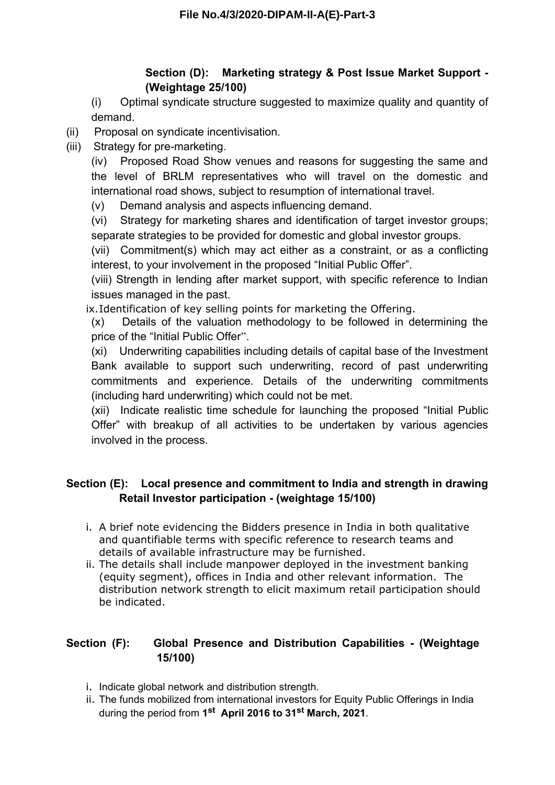# **Section (D): Marketing strategy & Post Issue Market Support - (Weightage 25/100)**

(i) Optimal syndicate structure suggested to maximize quality and quantity of demand.

- (ii) Proposal on syndicate incentivisation.
- (iii) Strategy for pre-marketing.

(iv) Proposed Road Show venues and reasons for suggesting the same and the level of BRLM representatives who will travel on the domestic and international road shows, subject to resumption of international travel.

(v) Demand analysis and aspects influencing demand.

(vi) Strategy for marketing shares and identification of target investor groups; separate strategies to be provided for domestic and global investor groups.

(vii) Commitment(s) which may act either as a constraint, or as a conflicting interest, to your involvement in the proposed "Initial Public Offer".

(viii) Strength in lending after market support, with specific reference to Indian issues managed in the past.

ix.Identification of key selling points for marketing the Offering.

(x) Details of the valuation methodology to be followed in determining the price of the "Initial Public Offer".

(xi) Underwriting capabilities including details of capital base of the Investment Bank available to support such underwriting, record of past underwriting commitments and experience. Details of the underwriting commitments (including hard underwriting) which could not be met.

(xii) Indicate realistic time schedule for launching the proposed "Initial Public Offer" with breakup of all activities to be undertaken by various agencies involved in the process.

# **Section (E): Local presence and commitment to India and strength in drawing Retail Investor participation - (weightage 15/100)**

- i. A brief note evidencing the Bidders presence in India in both qualitative and quantifiable terms with specific reference to research teams and details of available infrastructure may be furnished.
- ii. The details shall include manpower deployed in the investment banking (equity segment), offices in India and other relevant information. The distribution network strength to elicit maximum retail participation should be indicated.

# **Section (F): Global Presence and Distribution Capabilities - (Weightage 15/100)**

- i. Indicate global network and distribution strength.
- ii. The funds mobilized from international investors for Equity Public Offerings in India during the period from **1 st April 2016 to 31st March, 2021**.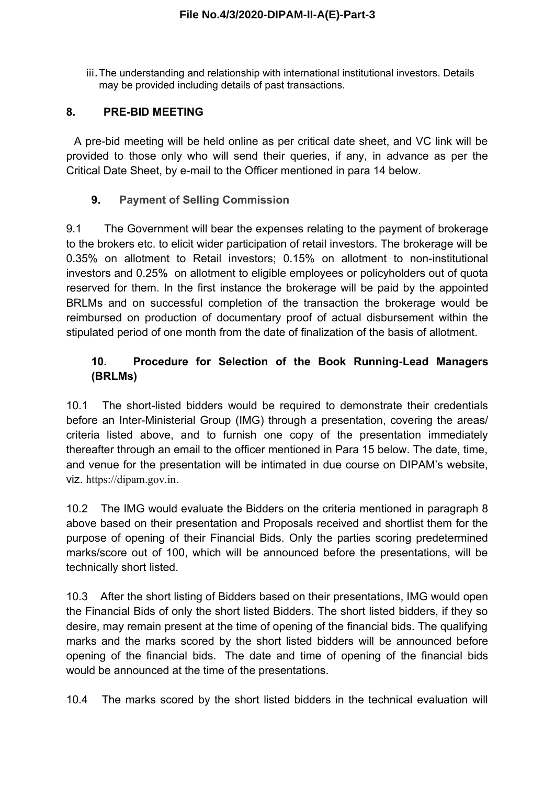iii.The understanding and relationship with international institutional investors. Details may be provided including details of past transactions.

# **8. PRE-BID MEETING**

A pre-bid meeting will be held online as per critical date sheet, and VC link will be provided to those only who will send their queries, if any, in advance as per the Critical Date Sheet, by e-mail to the Officer mentioned in para 14 below.

# **9. Payment of Selling Commission**

9.1 The Government will bear the expenses relating to the payment of brokerage to the brokers etc. to elicit wider participation of retail investors. The brokerage will be 0.35% on allotment to Retail investors; 0.15% on allotment to non-institutional investors and 0.25% on allotment to eligible employees or policyholders out of quota reserved for them. In the first instance the brokerage will be paid by the appointed BRLMs and on successful completion of the transaction the brokerage would be reimbursed on production of documentary proof of actual disbursement within the stipulated period of one month from the date of finalization of the basis of allotment.

# **10. Procedure for Selection of the Book Running-Lead Managers (BRLMs)**

10.1 The short-listed bidders would be required to demonstrate their credentials before an Inter-Ministerial Group (IMG) through a presentation, covering the areas/ criteria listed above, and to furnish one copy of the presentation immediately thereafter through an email to the officer mentioned in Para 15 below. The date, time, and venue for the presentation will be intimated in due course on DIPAM's website, viz. https://dipam.gov.in.

10.2 The IMG would evaluate the Bidders on the criteria mentioned in paragraph 8 above based on their presentation and Proposals received and shortlist them for the purpose of opening of their Financial Bids. Only the parties scoring predetermined marks/score out of 100, which will be announced before the presentations, will be technically short listed.

10.3 After the short listing of Bidders based on their presentations, IMG would open the Financial Bids of only the short listed Bidders. The short listed bidders, if they so desire, may remain present at the time of opening of the financial bids. The qualifying marks and the marks scored by the short listed bidders will be announced before opening of the financial bids. The date and time of opening of the financial bids would be announced at the time of the presentations.

10.4 The marks scored by the short listed bidders in the technical evaluation will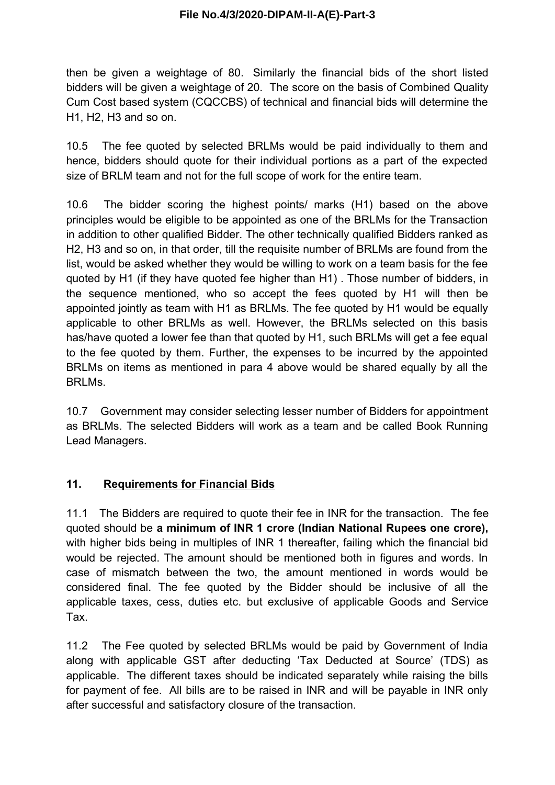then be given a weightage of 80. Similarly the financial bids of the short listed bidders will be given a weightage of 20. The score on the basis of Combined Quality Cum Cost based system (CQCCBS) of technical and financial bids will determine the H1, H2, H3 and so on.

10.5 The fee quoted by selected BRLMs would be paid individually to them and hence, bidders should quote for their individual portions as a part of the expected size of BRLM team and not for the full scope of work for the entire team.

10.6 The bidder scoring the highest points/ marks (H1) based on the above principles would be eligible to be appointed as one of the BRLMs for the Transaction in addition to other qualified Bidder. The other technically qualified Bidders ranked as H2, H3 and so on, in that order, till the requisite number of BRLMs are found from the list, would be asked whether they would be willing to work on a team basis for the fee quoted by H1 (if they have quoted fee higher than H1) . Those number of bidders, in the sequence mentioned, who so accept the fees quoted by H1 will then be appointed jointly as team with H1 as BRLMs. The fee quoted by H1 would be equally applicable to other BRLMs as well. However, the BRLMs selected on this basis has/have quoted a lower fee than that quoted by H1, such BRLMs will get a fee equal to the fee quoted by them. Further, the expenses to be incurred by the appointed BRLMs on items as mentioned in para 4 above would be shared equally by all the BRLMs.

10.7 Government may consider selecting lesser number of Bidders for appointment as BRLMs. The selected Bidders will work as a team and be called Book Running Lead Managers.

## **11. Requirements for Financial Bids**

11.1 The Bidders are required to quote their fee in INR for the transaction. The fee quoted should be **a minimum of INR 1 crore (Indian National Rupees one crore),** with higher bids being in multiples of INR 1 thereafter, failing which the financial bid would be rejected. The amount should be mentioned both in figures and words. In case of mismatch between the two, the amount mentioned in words would be considered final. The fee quoted by the Bidder should be inclusive of all the applicable taxes, cess, duties etc. but exclusive of applicable Goods and Service Tax.

11.2 The Fee quoted by selected BRLMs would be paid by Government of India along with applicable GST after deducting 'Tax Deducted at Source' (TDS) as applicable. The different taxes should be indicated separately while raising the bills for payment of fee. All bills are to be raised in INR and will be payable in INR only after successful and satisfactory closure of the transaction.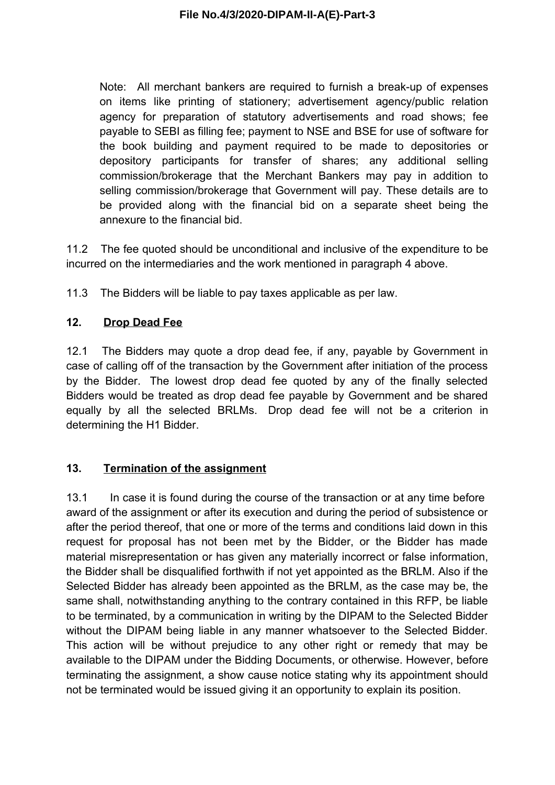Note: All merchant bankers are required to furnish a break-up of expenses on items like printing of stationery; advertisement agency/public relation agency for preparation of statutory advertisements and road shows; fee payable to SEBI as filling fee; payment to NSE and BSE for use of software for the book building and payment required to be made to depositories or depository participants for transfer of shares; any additional selling commission/brokerage that the Merchant Bankers may pay in addition to selling commission/brokerage that Government will pay. These details are to be provided along with the financial bid on a separate sheet being the annexure to the financial bid.

11.2 The fee quoted should be unconditional and inclusive of the expenditure to be incurred on the intermediaries and the work mentioned in paragraph 4 above.

11.3 The Bidders will be liable to pay taxes applicable as per law.

# **12. Drop Dead Fee**

12.1 The Bidders may quote a drop dead fee, if any, payable by Government in case of calling off of the transaction by the Government after initiation of the process by the Bidder. The lowest drop dead fee quoted by any of the finally selected Bidders would be treated as drop dead fee payable by Government and be shared equally by all the selected BRLMs. Drop dead fee will not be a criterion in determining the H1 Bidder.

# **13. Termination of the assignment**

13.1 In case it is found during the course of the transaction or at any time before award of the assignment or after its execution and during the period of subsistence or after the period thereof, that one or more of the terms and conditions laid down in this request for proposal has not been met by the Bidder, or the Bidder has made material misrepresentation or has given any materially incorrect or false information, the Bidder shall be disqualified forthwith if not yet appointed as the BRLM. Also if the Selected Bidder has already been appointed as the BRLM, as the case may be, the same shall, notwithstanding anything to the contrary contained in this RFP, be liable to be terminated, by a communication in writing by the DIPAM to the Selected Bidder without the DIPAM being liable in any manner whatsoever to the Selected Bidder. This action will be without prejudice to any other right or remedy that may be available to the DIPAM under the Bidding Documents, or otherwise. However, before terminating the assignment, a show cause notice stating why its appointment should not be terminated would be issued giving it an opportunity to explain its position.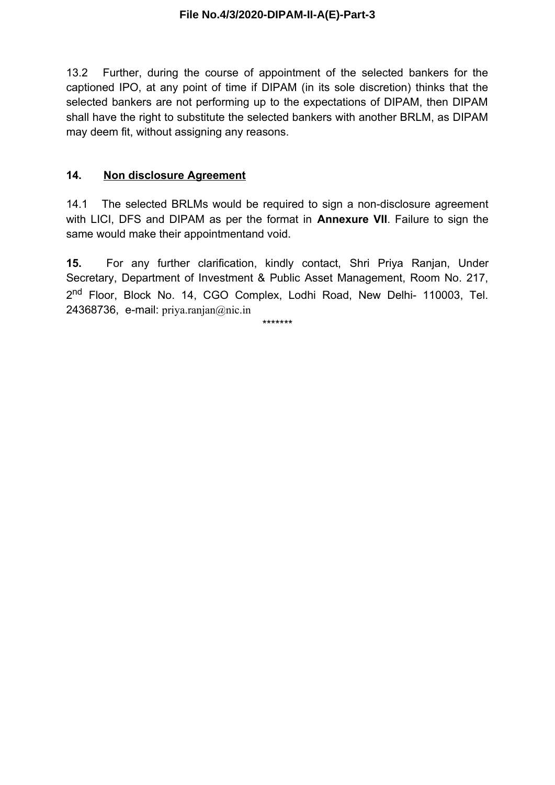13.2 Further, during the course of appointment of the selected bankers for the captioned IPO, at any point of time if DIPAM (in its sole discretion) thinks that the selected bankers are not performing up to the expectations of DIPAM, then DIPAM shall have the right to substitute the selected bankers with another BRLM, as DIPAM may deem fit, without assigning any reasons.

## **14. Non disclosure Agreement**

14.1 The selected BRLMs would be required to sign a non-disclosure agreement with LICI, DFS and DIPAM as per the format in **Annexure VII**. Failure to sign the same would make their appointmentand void.

**15.** For any further clarification, kindly contact, Shri Priya Ranjan, Under Secretary, Department of Investment & Public Asset Management, Room No. 217, 2<sup>nd</sup> Floor, Block No. 14, CGO Complex, Lodhi Road, New Delhi- 110003, Tel. 24368736, e-mail: priya.ranjan@nic.in

\*\*\*\*\*\*\*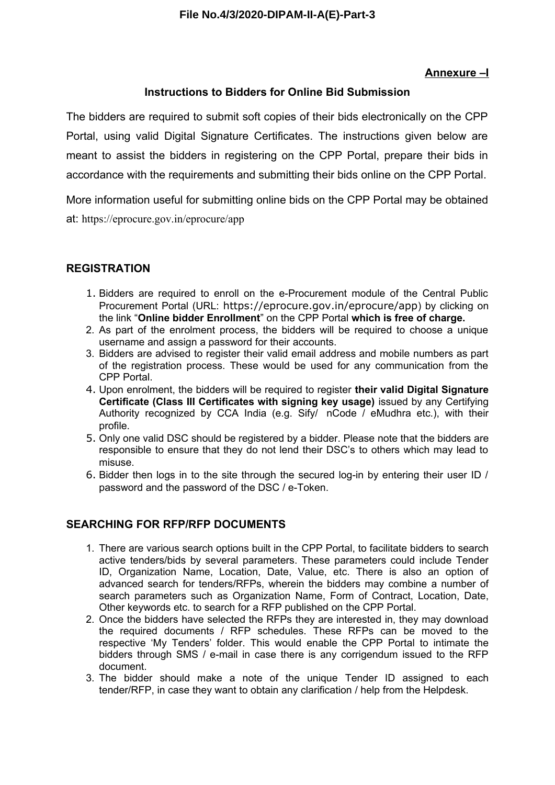## **Annexure –I**

## **Instructions to Bidders for Online Bid Submission**

The bidders are required to submit soft copies of their bids electronically on the CPP Portal, using valid Digital Signature Certificates. The instructions given below are meant to assist the bidders in registering on the CPP Portal, prepare their bids in accordance with the requirements and submitting their bids online on the CPP Portal.

More information useful for submitting online bids on the CPP Portal may be obtained at: https://eprocure.gov.in/eprocure/app

## **REGISTRATION**

- 1. Bidders are required to enroll on the e-Procurement module of the Central Public Procurement Portal (URL: https://eprocure.gov.in/eprocure/app) by clicking on the link "**Online bidder Enrollment**" on the CPP Portal **which is free of charge.**
- 2. As part of the enrolment process, the bidders will be required to choose a unique username and assign a password for their accounts.
- 3. Bidders are advised to register their valid email address and mobile numbers as part of the registration process. These would be used for any communication from the CPP Portal.
- 4. Upon enrolment, the bidders will be required to register **their valid Digital Signature Certificate (Class III Certificates with signing key usage)** issued by any Certifying Authority recognized by CCA India (e.g. Sify/ nCode / eMudhra etc.), with their profile.
- 5. Only one valid DSC should be registered by a bidder. Please note that the bidders are responsible to ensure that they do not lend their DSC's to others which may lead to misuse.
- 6. Bidder then logs in to the site through the secured log-in by entering their user ID / password and the password of the DSC / e-Token.

## **SEARCHING FOR RFP/RFP DOCUMENTS**

- 1. There are various search options built in the CPP Portal, to facilitate bidders to search active tenders/bids by several parameters. These parameters could include Tender ID, Organization Name, Location, Date, Value, etc. There is also an option of advanced search for tenders/RFPs, wherein the bidders may combine a number of search parameters such as Organization Name, Form of Contract, Location, Date, Other keywords etc. to search for a RFP published on the CPP Portal.
- 2. Once the bidders have selected the RFPs they are interested in, they may download the required documents / RFP schedules. These RFPs can be moved to the respective 'My Tenders' folder. This would enable the CPP Portal to intimate the bidders through SMS / e-mail in case there is any corrigendum issued to the RFP document.
- 3. The bidder should make a note of the unique Tender ID assigned to each tender/RFP, in case they want to obtain any clarification / help from the Helpdesk.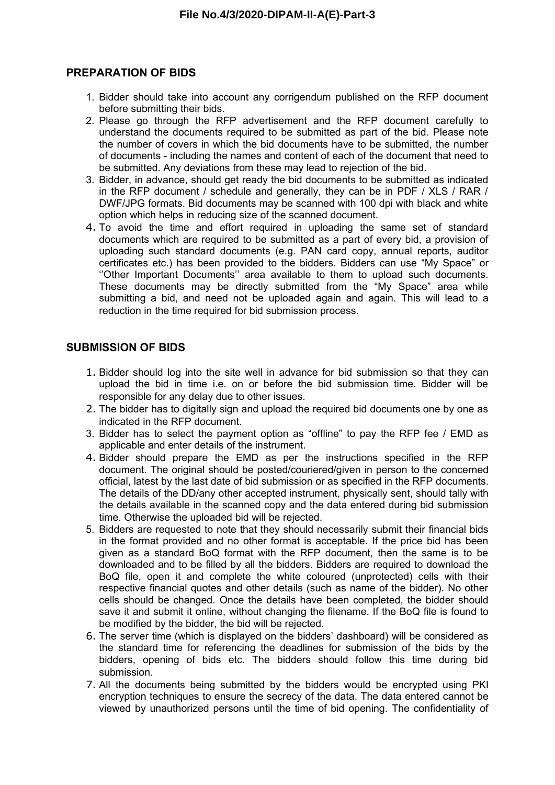### **PREPARATION OF BIDS**

- 1. Bidder should take into account any corrigendum published on the RFP document before submitting their bids.
- 2. Please go through the RFP advertisement and the RFP document carefully to understand the documents required to be submitted as part of the bid. Please note the number of covers in which the bid documents have to be submitted, the number of documents - including the names and content of each of the document that need to be submitted. Any deviations from these may lead to rejection of the bid.
- 3. Bidder, in advance, should get ready the bid documents to be submitted as indicated in the RFP document / schedule and generally, they can be in PDF / XLS / RAR / DWF/JPG formats. Bid documents may be scanned with 100 dpi with black and white option which helps in reducing size of the scanned document.
- 4. To avoid the time and effort required in uploading the same set of standard documents which are required to be submitted as a part of every bid, a provision of uploading such standard documents (e.g. PAN card copy, annual reports, auditor certificates etc.) has been provided to the bidders. Bidders can use "My Space" or ''Other Important Documents'' area available to them to upload such documents. These documents may be directly submitted from the "My Space" area while submitting a bid, and need not be uploaded again and again. This will lead to a reduction in the time required for bid submission process.

### **SUBMISSION OF BIDS**

- 1. Bidder should log into the site well in advance for bid submission so that they can upload the bid in time i.e. on or before the bid submission time. Bidder will be responsible for any delay due to other issues.
- 2. The bidder has to digitally sign and upload the required bid documents one by one as indicated in the RFP document.
- 3. Bidder has to select the payment option as "offline" to pay the RFP fee / EMD as applicable and enter details of the instrument.
- 4. Bidder should prepare the EMD as per the instructions specified in the RFP document. The original should be posted/couriered/given in person to the concerned official, latest by the last date of bid submission or as specified in the RFP documents. The details of the DD/any other accepted instrument, physically sent, should tally with the details available in the scanned copy and the data entered during bid submission time. Otherwise the uploaded bid will be rejected.
- 5. Bidders are requested to note that they should necessarily submit their financial bids in the format provided and no other format is acceptable. If the price bid has been given as a standard BoQ format with the RFP document, then the same is to be downloaded and to be filled by all the bidders. Bidders are required to download the BoQ file, open it and complete the white coloured (unprotected) cells with their respective financial quotes and other details (such as name of the bidder). No other cells should be changed. Once the details have been completed, the bidder should save it and submit it online, without changing the filename. If the BoQ file is found to be modified by the bidder, the bid will be rejected.
- 6. The server time (which is displayed on the bidders' dashboard) will be considered as the standard time for referencing the deadlines for submission of the bids by the bidders, opening of bids etc. The bidders should follow this time during bid submission.
- 7. All the documents being submitted by the bidders would be encrypted using PKI encryption techniques to ensure the secrecy of the data. The data entered cannot be viewed by unauthorized persons until the time of bid opening. The confidentiality of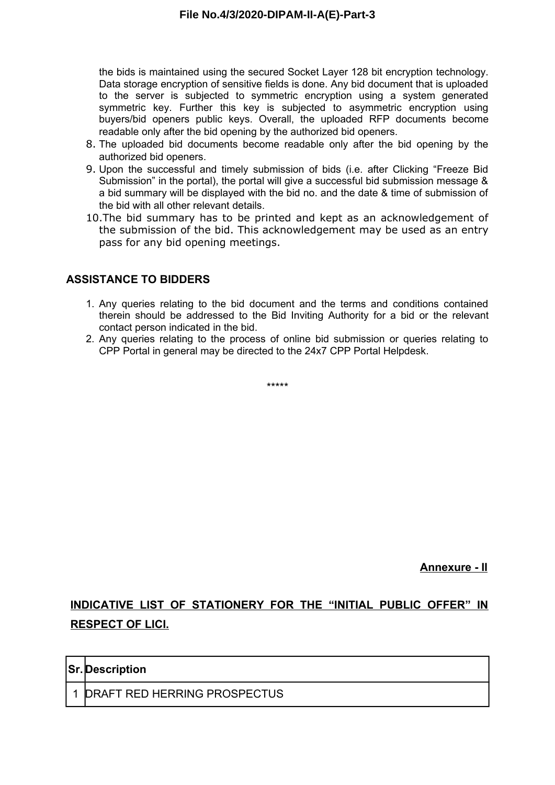the bids is maintained using the secured Socket Layer 128 bit encryption technology. Data storage encryption of sensitive fields is done. Any bid document that is uploaded to the server is subjected to symmetric encryption using a system generated symmetric key. Further this key is subjected to asymmetric encryption using buyers/bid openers public keys. Overall, the uploaded RFP documents become readable only after the bid opening by the authorized bid openers.

- 8. The uploaded bid documents become readable only after the bid opening by the authorized bid openers.
- 9. Upon the successful and timely submission of bids (i.e. after Clicking "Freeze Bid Submission" in the portal), the portal will give a successful bid submission message & a bid summary will be displayed with the bid no. and the date & time of submission of the bid with all other relevant details.
- 10.The bid summary has to be printed and kept as an acknowledgement of the submission of the bid. This acknowledgement may be used as an entry pass for any bid opening meetings.

## **ASSISTANCE TO BIDDERS**

- 1. Any queries relating to the bid document and the terms and conditions contained therein should be addressed to the Bid Inviting Authority for a bid or the relevant contact person indicated in the bid.
- 2. Any queries relating to the process of online bid submission or queries relating to CPP Portal in general may be directed to the 24x7 CPP Portal Helpdesk.

\*\*\*\*\*

**Annexure - II**

# **INDICATIVE LIST OF STATIONERY FOR THE "INITIAL PUBLIC OFFER" IN RESPECT OF LICI.**

| <b>Sr.</b> Description         |
|--------------------------------|
| 1 DRAFT RED HERRING PROSPECTUS |
|                                |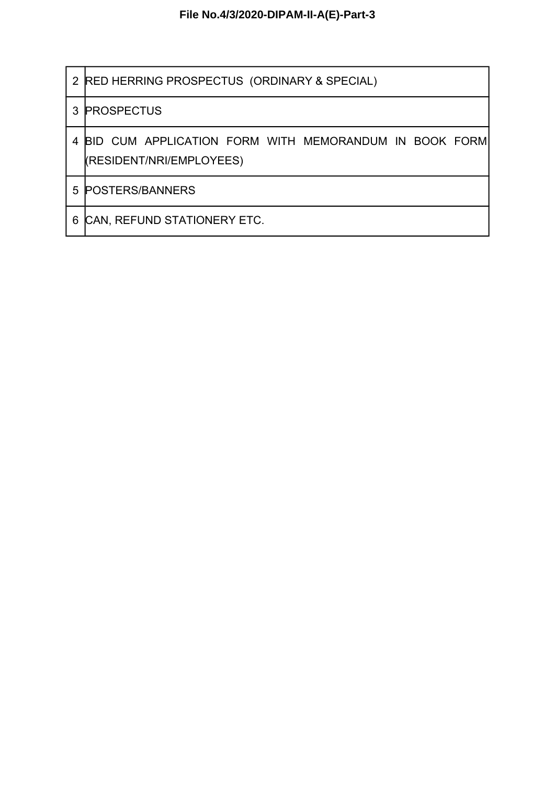|   | 2 RED HERRING PROSPECTUS (ORDINARY & SPECIAL)                                     |  |  |  |  |  |  |  |
|---|-----------------------------------------------------------------------------------|--|--|--|--|--|--|--|
|   | 3 PROSPECTUS                                                                      |  |  |  |  |  |  |  |
| 4 | BID CUM APPLICATION FORM WITH MEMORANDUM IN BOOK FORM<br>(RESIDENT/NRI/EMPLOYEES) |  |  |  |  |  |  |  |
| 5 | <b>POSTERS/BANNERS</b>                                                            |  |  |  |  |  |  |  |
| 6 | CAN, REFUND STATIONERY ETC.                                                       |  |  |  |  |  |  |  |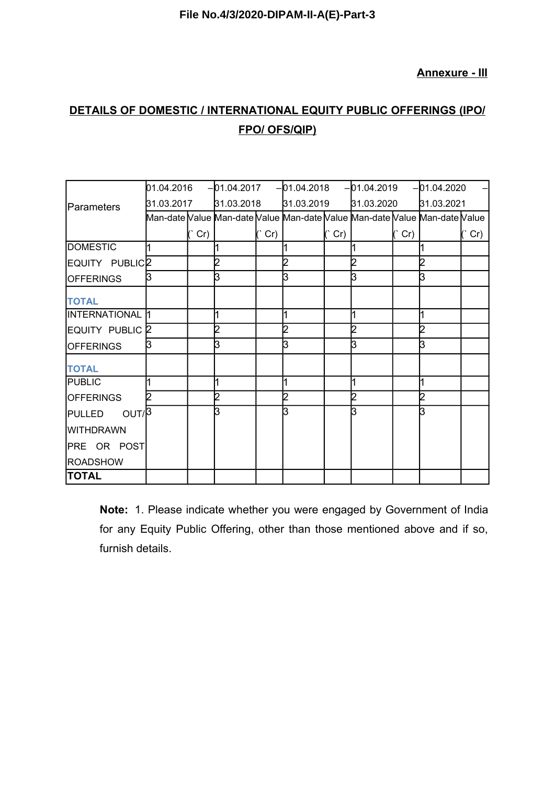**Annexure - III**

# **DETAILS OF DOMESTIC / INTERNATIONAL EQUITY PUBLIC OFFERINGS (IPO/ FPO/ OFS/QIP)**

|                            |            |     |            |             | $[01.04.2016$ $-01.04.2017$ $-01.04.2018$ $-01.04.2019$ |               |            |         | $-01.04.2020$                                                              |         |
|----------------------------|------------|-----|------------|-------------|---------------------------------------------------------|---------------|------------|---------|----------------------------------------------------------------------------|---------|
| Parameters                 | 31.03.2017 |     | 31.03.2018 |             | 31.03.2019                                              |               | 31.03.2020 |         | 31.03.2021                                                                 |         |
|                            |            |     |            |             |                                                         |               |            |         | Man-date Value Man-date Value Man-date Value Man-date Value Man-date Value |         |
|                            |            | Cr) |            | $(\hat{C})$ |                                                         | $(^\circ$ Cr) |            | $($ Cr) |                                                                            | $($ Cr) |
| <b>DOMESTIC</b>            |            |     |            |             |                                                         |               |            |         |                                                                            |         |
| EQUITY PUBLIC <sub>2</sub> |            |     |            |             |                                                         |               |            |         |                                                                            |         |
| <b>OFFERINGS</b>           | B          |     | B          |             | З                                                       |               |            |         |                                                                            |         |
| <b>TOTAL</b>               |            |     |            |             |                                                         |               |            |         |                                                                            |         |
| <b>INTERNATIONAL 11</b>    |            |     |            |             |                                                         |               |            |         |                                                                            |         |
| EQUITY PUBLIC <sup>2</sup> |            |     |            |             |                                                         |               |            |         |                                                                            |         |
| <b>OFFERINGS</b>           |            |     | ß          |             | ვ                                                       |               |            |         |                                                                            |         |
| <b>TOTAL</b>               |            |     |            |             |                                                         |               |            |         |                                                                            |         |
| <b>PUBLIC</b>              |            |     |            |             |                                                         |               |            |         |                                                                            |         |
| <b>OFFERINGS</b>           |            |     |            |             |                                                         |               |            |         |                                                                            |         |
| OUT/B<br><b>PULLED</b>     |            |     | R          |             | R                                                       |               |            |         |                                                                            |         |
| <b>WITHDRAWN</b>           |            |     |            |             |                                                         |               |            |         |                                                                            |         |
| PRE OR POST                |            |     |            |             |                                                         |               |            |         |                                                                            |         |
| <b>ROADSHOW</b>            |            |     |            |             |                                                         |               |            |         |                                                                            |         |
| <b>TOTAL</b>               |            |     |            |             |                                                         |               |            |         |                                                                            |         |

**Note:** 1. Please indicate whether you were engaged by Government of India for any Equity Public Offering, other than those mentioned above and if so, furnish details.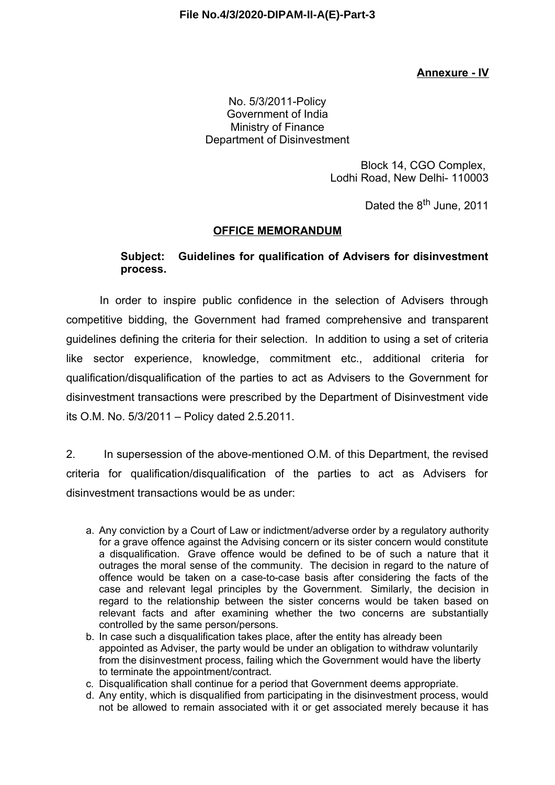## **Annexure - IV**

### No. 5/3/2011-Policy Government of India Ministry of Finance Department of Disinvestment

Block 14, CGO Complex, Lodhi Road, New Delhi- 110003

Dated the 8<sup>th</sup> June, 2011

### **OFFICE MEMORANDUM**

## **Subject: Guidelines for qualification of Advisers for disinvestment process.**

In order to inspire public confidence in the selection of Advisers through competitive bidding, the Government had framed comprehensive and transparent guidelines defining the criteria for their selection. In addition to using a set of criteria like sector experience, knowledge, commitment etc., additional criteria for qualification/disqualification of the parties to act as Advisers to the Government for disinvestment transactions were prescribed by the Department of Disinvestment vide its O.M. No. 5/3/2011 – Policy dated 2.5.2011.

2. In supersession of the above-mentioned O.M. of this Department, the revised criteria for qualification/disqualification of the parties to act as Advisers for disinvestment transactions would be as under:

- a. Any conviction by a Court of Law or indictment/adverse order by a regulatory authority for a grave offence against the Advising concern or its sister concern would constitute a disqualification. Grave offence would be defined to be of such a nature that it outrages the moral sense of the community. The decision in regard to the nature of offence would be taken on a case-to-case basis after considering the facts of the case and relevant legal principles by the Government. Similarly, the decision in regard to the relationship between the sister concerns would be taken based on relevant facts and after examining whether the two concerns are substantially controlled by the same person/persons.
- b. In case such a disqualification takes place, after the entity has already been appointed as Adviser, the party would be under an obligation to withdraw voluntarily from the disinvestment process, failing which the Government would have the liberty to terminate the appointment/contract.
- c. Disqualification shall continue for a period that Government deems appropriate.
- d. Any entity, which is disqualified from participating in the disinvestment process, would not be allowed to remain associated with it or get associated merely because it has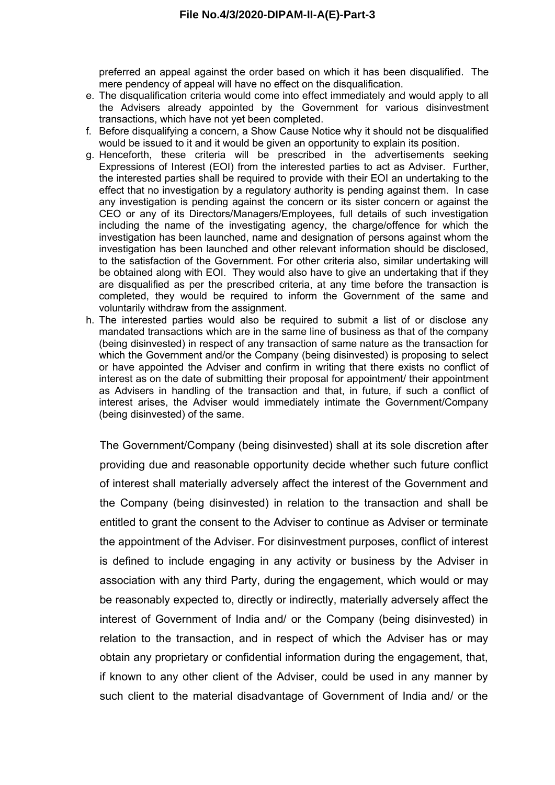preferred an appeal against the order based on which it has been disqualified. The mere pendency of appeal will have no effect on the disqualification.

- e. The disqualification criteria would come into effect immediately and would apply to all the Advisers already appointed by the Government for various disinvestment transactions, which have not yet been completed.
- f. Before disqualifying a concern, a Show Cause Notice why it should not be disqualified would be issued to it and it would be given an opportunity to explain its position.
- g. Henceforth, these criteria will be prescribed in the advertisements seeking Expressions of Interest (EOI) from the interested parties to act as Adviser. Further, the interested parties shall be required to provide with their EOI an undertaking to the effect that no investigation by a regulatory authority is pending against them. In case any investigation is pending against the concern or its sister concern or against the CEO or any of its Directors/Managers/Employees, full details of such investigation including the name of the investigating agency, the charge/offence for which the investigation has been launched, name and designation of persons against whom the investigation has been launched and other relevant information should be disclosed, to the satisfaction of the Government. For other criteria also, similar undertaking will be obtained along with EOI. They would also have to give an undertaking that if they are disqualified as per the prescribed criteria, at any time before the transaction is completed, they would be required to inform the Government of the same and voluntarily withdraw from the assignment.
- h. The interested parties would also be required to submit a list of or disclose any mandated transactions which are in the same line of business as that of the company (being disinvested) in respect of any transaction of same nature as the transaction for which the Government and/or the Company (being disinvested) is proposing to select or have appointed the Adviser and confirm in writing that there exists no conflict of interest as on the date of submitting their proposal for appointment/ their appointment as Advisers in handling of the transaction and that, in future, if such a conflict of interest arises, the Adviser would immediately intimate the Government/Company (being disinvested) of the same.

The Government/Company (being disinvested) shall at its sole discretion after providing due and reasonable opportunity decide whether such future conflict of interest shall materially adversely affect the interest of the Government and the Company (being disinvested) in relation to the transaction and shall be entitled to grant the consent to the Adviser to continue as Adviser or terminate the appointment of the Adviser. For disinvestment purposes, conflict of interest is defined to include engaging in any activity or business by the Adviser in association with any third Party, during the engagement, which would or may be reasonably expected to, directly or indirectly, materially adversely affect the interest of Government of India and/ or the Company (being disinvested) in relation to the transaction, and in respect of which the Adviser has or may obtain any proprietary or confidential information during the engagement, that, if known to any other client of the Adviser, could be used in any manner by such client to the material disadvantage of Government of India and/ or the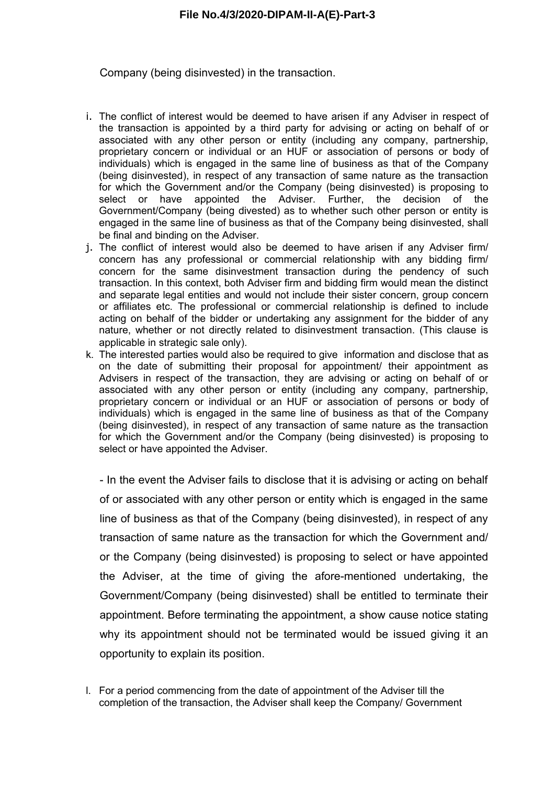Company (being disinvested) in the transaction.

- i. The conflict of interest would be deemed to have arisen if any Adviser in respect of the transaction is appointed by a third party for advising or acting on behalf of or associated with any other person or entity (including any company, partnership, proprietary concern or individual or an HUF or association of persons or body of individuals) which is engaged in the same line of business as that of the Company (being disinvested), in respect of any transaction of same nature as the transaction for which the Government and/or the Company (being disinvested) is proposing to select or have appointed the Adviser. Further, the decision of the Government/Company (being divested) as to whether such other person or entity is engaged in the same line of business as that of the Company being disinvested, shall be final and binding on the Adviser.
- j. The conflict of interest would also be deemed to have arisen if any Adviser firm/ concern has any professional or commercial relationship with any bidding firm/ concern for the same disinvestment transaction during the pendency of such transaction. In this context, both Adviser firm and bidding firm would mean the distinct and separate legal entities and would not include their sister concern, group concern or affiliates etc. The professional or commercial relationship is defined to include acting on behalf of the bidder or undertaking any assignment for the bidder of any nature, whether or not directly related to disinvestment transaction. (This clause is applicable in strategic sale only).
- k. The interested parties would also be required to give information and disclose that as on the date of submitting their proposal for appointment/ their appointment as Advisers in respect of the transaction, they are advising or acting on behalf of or associated with any other person or entity (including any company, partnership, proprietary concern or individual or an HUF or association of persons or body of individuals) which is engaged in the same line of business as that of the Company (being disinvested), in respect of any transaction of same nature as the transaction for which the Government and/or the Company (being disinvested) is proposing to select or have appointed the Adviser.

- In the event the Adviser fails to disclose that it is advising or acting on behalf of or associated with any other person or entity which is engaged in the same line of business as that of the Company (being disinvested), in respect of any transaction of same nature as the transaction for which the Government and/ or the Company (being disinvested) is proposing to select or have appointed the Adviser, at the time of giving the afore-mentioned undertaking, the Government/Company (being disinvested) shall be entitled to terminate their appointment. Before terminating the appointment, a show cause notice stating why its appointment should not be terminated would be issued giving it an opportunity to explain its position.

l. For a period commencing from the date of appointment of the Adviser till the completion of the transaction, the Adviser shall keep the Company/ Government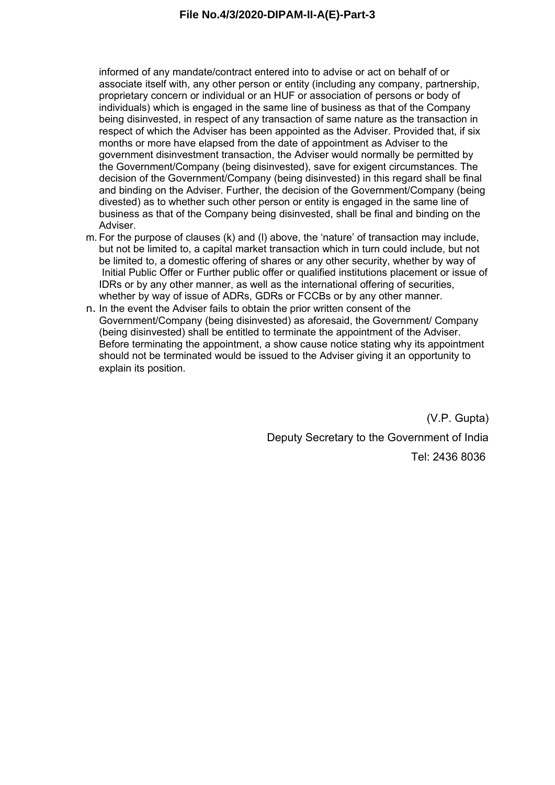informed of any mandate/contract entered into to advise or act on behalf of or associate itself with, any other person or entity (including any company, partnership, proprietary concern or individual or an HUF or association of persons or body of individuals) which is engaged in the same line of business as that of the Company being disinvested, in respect of any transaction of same nature as the transaction in respect of which the Adviser has been appointed as the Adviser. Provided that, if six months or more have elapsed from the date of appointment as Adviser to the government disinvestment transaction, the Adviser would normally be permitted by the Government/Company (being disinvested), save for exigent circumstances. The decision of the Government/Company (being disinvested) in this regard shall be final and binding on the Adviser. Further, the decision of the Government/Company (being divested) as to whether such other person or entity is engaged in the same line of business as that of the Company being disinvested, shall be final and binding on the Adviser.

- m. For the purpose of clauses (k) and (l) above, the 'nature' of transaction may include, but not be limited to, a capital market transaction which in turn could include, but not be limited to, a domestic offering of shares or any other security, whether by way of Initial Public Offer or Further public offer or qualified institutions placement or issue of IDRs or by any other manner, as well as the international offering of securities, whether by way of issue of ADRs, GDRs or FCCBs or by any other manner.
- n. In the event the Adviser fails to obtain the prior written consent of the Government/Company (being disinvested) as aforesaid, the Government/ Company (being disinvested) shall be entitled to terminate the appointment of the Adviser. Before terminating the appointment, a show cause notice stating why its appointment should not be terminated would be issued to the Adviser giving it an opportunity to explain its position.

(V.P. Gupta) Deputy Secretary to the Government of India Tel: 2436 8036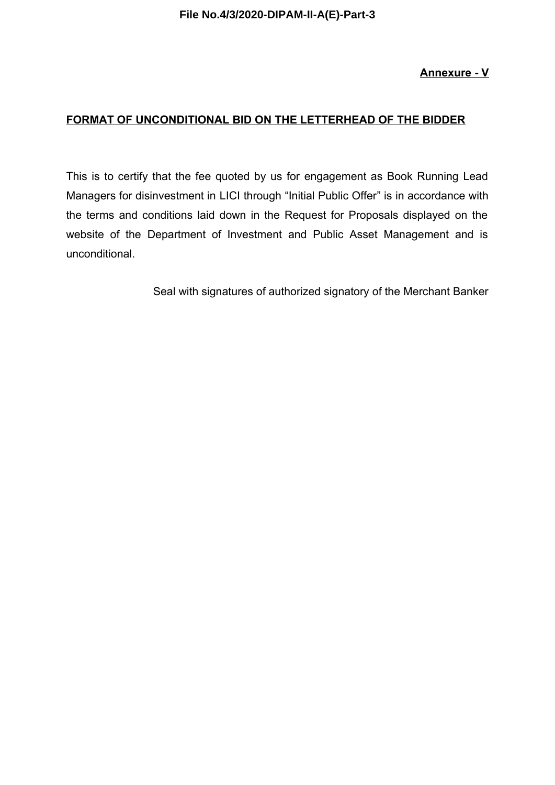## **Annexure - V**

## **FORMAT OF UNCONDITIONAL BID ON THE LETTERHEAD OF THE BIDDER**

This is to certify that the fee quoted by us for engagement as Book Running Lead Managers for disinvestment in LICI through "Initial Public Offer" is in accordance with the terms and conditions laid down in the Request for Proposals displayed on the website of the Department of Investment and Public Asset Management and is unconditional.

Seal with signatures of authorized signatory of the Merchant Banker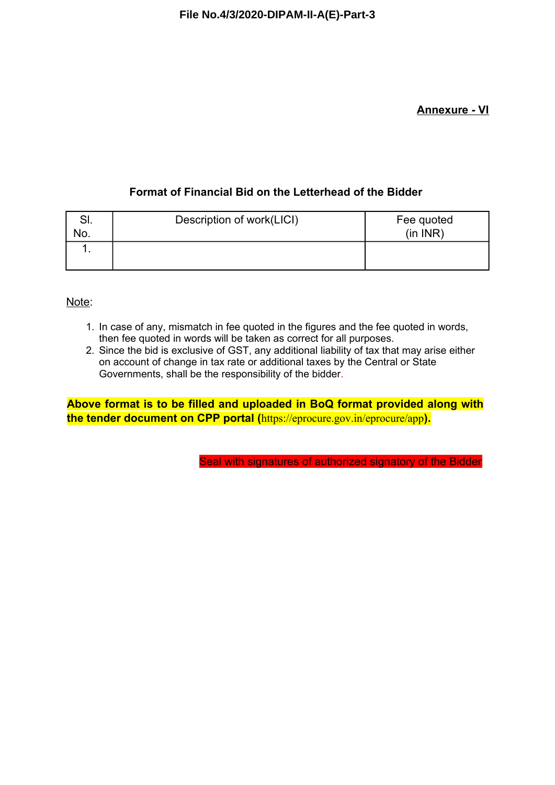## **Annexure - VI**

# **Format of Financial Bid on the Letterhead of the Bidder**

| . ات | Description of work(LICI) | Fee quoted |
|------|---------------------------|------------|
| No.  |                           | (in INR)   |
|      |                           |            |
|      |                           |            |

Note:

- 1. In case of any, mismatch in fee quoted in the figures and the fee quoted in words, then fee quoted in words will be taken as correct for all purposes.
- 2. Since the bid is exclusive of GST, any additional liability of tax that may arise either on account of change in tax rate or additional taxes by the Central or State Governments, shall be the responsibility of the bidder.

**Above format is to be filled and uploaded in BoQ format provided along with the tender document on CPP portal (**https://eprocure.gov.in/eprocure/app**).**

Seal with signatures of authorized signatory of the Bidder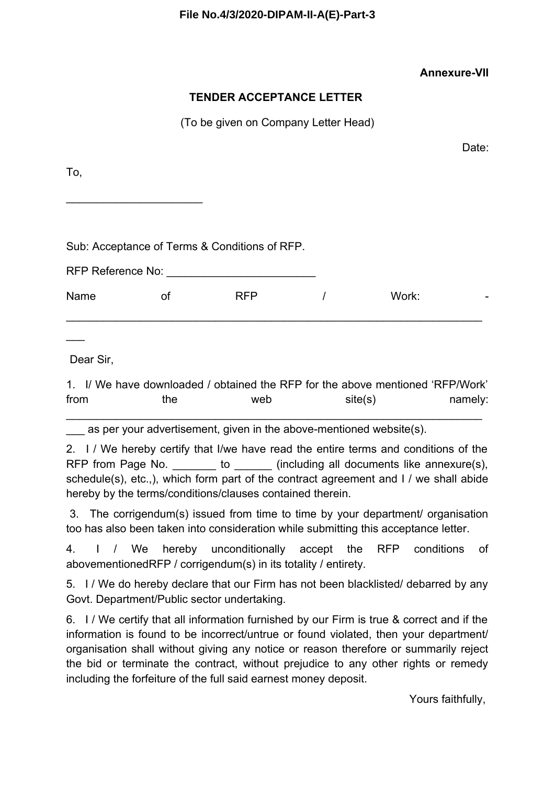## **Annexure-VII**

## **TENDER ACCEPTANCE LETTER**

(To be given on Company Letter Head)

Date:

To,

Sub: Acceptance of Terms & Conditions of RFP.

\_\_\_\_\_\_\_\_\_\_\_\_\_\_\_\_\_\_\_\_\_\_

| RFP Reference No: |    |            |       |                          |
|-------------------|----|------------|-------|--------------------------|
| Name              | Οt | <b>RFP</b> | Work: | $\overline{\phantom{a}}$ |

Dear Sir,

 $\overline{\phantom{a}}$ 

1. I/ We have downloaded / obtained the RFP for the above mentioned 'RFP/Work' from the web site(s) namely:

\_\_\_\_\_\_\_\_\_\_\_\_\_\_\_\_\_\_\_\_\_\_\_\_\_\_\_\_\_\_\_\_\_\_\_\_\_\_\_\_\_\_\_\_\_\_\_\_\_\_\_\_\_\_\_\_\_\_\_\_\_\_\_\_\_\_\_

as per your advertisement, given in the above-mentioned website(s).

2. I / We hereby certify that I/we have read the entire terms and conditions of the RFP from Page No.  $\qquad \qquad$  to  $\qquad \qquad$  (including all documents like annexure(s), schedule(s), etc.,), which form part of the contract agreement and I / we shall abide hereby by the terms/conditions/clauses contained therein.

3. The corrigendum(s) issued from time to time by your department/ organisation too has also been taken into consideration while submitting this acceptance letter.

4. I / We hereby unconditionally accept the RFP conditions of abovementionedRFP / corrigendum(s) in its totality / entirety.

5. I / We do hereby declare that our Firm has not been blacklisted/ debarred by any Govt. Department/Public sector undertaking.

6. I / We certify that all information furnished by our Firm is true & correct and if the information is found to be incorrect/untrue or found violated, then your department/ organisation shall without giving any notice or reason therefore or summarily reject the bid or terminate the contract, without prejudice to any other rights or remedy including the forfeiture of the full said earnest money deposit.

Yours faithfully,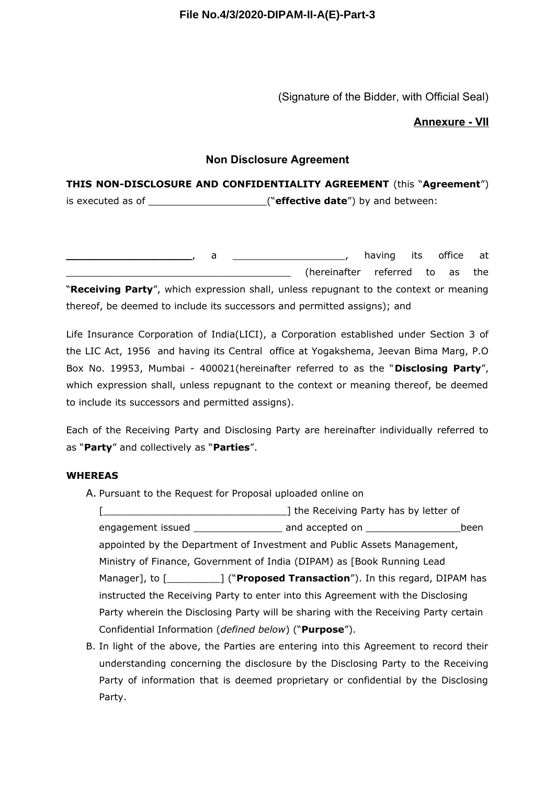(Signature of the Bidder, with Official Seal)

### **Annexure - VII**

### **Non Disclosure Agreement**

# **THIS NON-DISCLOSURE AND CONFIDENTIALITY AGREEMENT** (this "**Agreement**") is executed as of **the contract of the contract of the contract of the contract of the contract of the contract**

**\_\_\_\_\_\_\_\_\_\_\_\_\_\_\_\_\_\_\_**, a \_\_\_\_\_\_\_\_\_\_\_\_\_\_\_\_\_\_\_, having its office at (hereinafter referred to as the "**Receiving Party**", which expression shall, unless repugnant to the context or meaning thereof, be deemed to include its successors and permitted assigns); and

Life Insurance Corporation of India(LICI), a Corporation established under Section 3 of the LIC Act, 1956 and having its Central office at Yogakshema, Jeevan Bima Marg, P.O Box No. 19953, Mumbai - 400021(hereinafter referred to as the "**Disclosing Party**", which expression shall, unless repugnant to the context or meaning thereof, be deemed to include its successors and permitted assigns).

Each of the Receiving Party and Disclosing Party are hereinafter individually referred to as "**Party**" and collectively as "**Parties**".

### **WHEREAS**

A. Pursuant to the Request for Proposal uploaded online on

[\_\_\_\_\_\_\_\_\_\_\_\_\_\_\_\_\_\_\_\_\_\_\_\_\_\_\_\_\_\_\_] the Receiving Party has by letter of engagement issued \_\_\_\_\_\_\_\_\_\_\_\_\_\_\_\_\_\_\_ and accepted on \_\_\_\_\_\_\_\_\_\_\_\_\_\_\_\_\_\_\_\_\_\_\_\_been appointed by the Department of Investment and Public Assets Management, Ministry of Finance, Government of India (DIPAM) as [Book Running Lead Manager], to [\_\_\_\_\_\_\_\_\_] ("**Proposed Transaction**"). In this regard, DIPAM has instructed the Receiving Party to enter into this Agreement with the Disclosing Party wherein the Disclosing Party will be sharing with the Receiving Party certain Confidential Information (*defined below*) ("**Purpose**").

B. In light of the above, the Parties are entering into this Agreement to record their understanding concerning the disclosure by the Disclosing Party to the Receiving Party of information that is deemed proprietary or confidential by the Disclosing Party.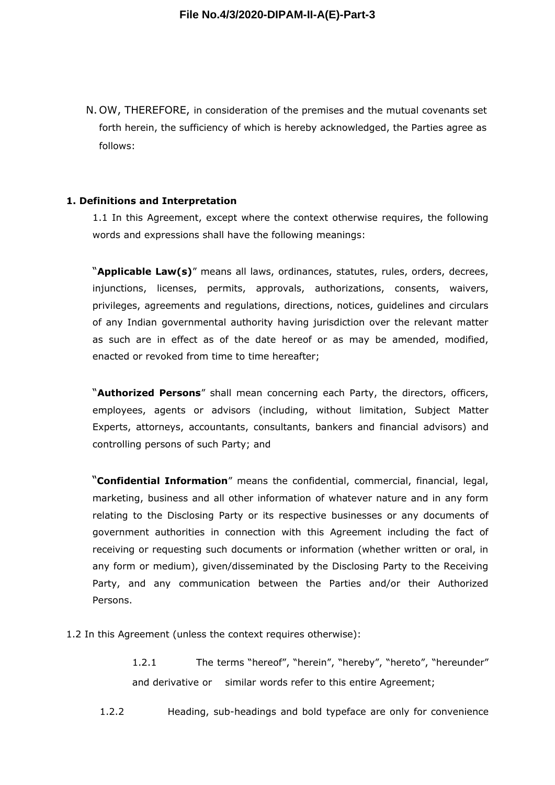N. OW, THEREFORE, in consideration of the premises and the mutual covenants set forth herein, the sufficiency of which is hereby acknowledged, the Parties agree as follows:

#### **1. Definitions and Interpretation**

1.1 In this Agreement, except where the context otherwise requires, the following words and expressions shall have the following meanings:

"**Applicable Law(s)**" means all laws, ordinances, statutes, rules, orders, decrees, injunctions, licenses, permits, approvals, authorizations, consents, waivers, privileges, agreements and regulations, directions, notices, guidelines and circulars of any Indian governmental authority having jurisdiction over the relevant matter as such are in effect as of the date hereof or as may be amended, modified, enacted or revoked from time to time hereafter;

"**Authorized Persons**" shall mean concerning each Party, the directors, officers, employees, agents or advisors (including, without limitation, Subject Matter Experts, attorneys, accountants, consultants, bankers and financial advisors) and controlling persons of such Party; and

"**Confidential Information**" means the confidential, commercial, financial, legal, marketing, business and all other information of whatever nature and in any form relating to the Disclosing Party or its respective businesses or any documents of government authorities in connection with this Agreement including the fact of receiving or requesting such documents or information (whether written or oral, in any form or medium), given/disseminated by the Disclosing Party to the Receiving Party, and any communication between the Parties and/or their Authorized Persons.

1.2 In this Agreement (unless the context requires otherwise):

1.2.1 The terms "hereof", "herein", "hereby", "hereto", "hereunder" and derivative or similar words refer to this entire Agreement;

1.2.2 Heading, sub-headings and bold typeface are only for convenience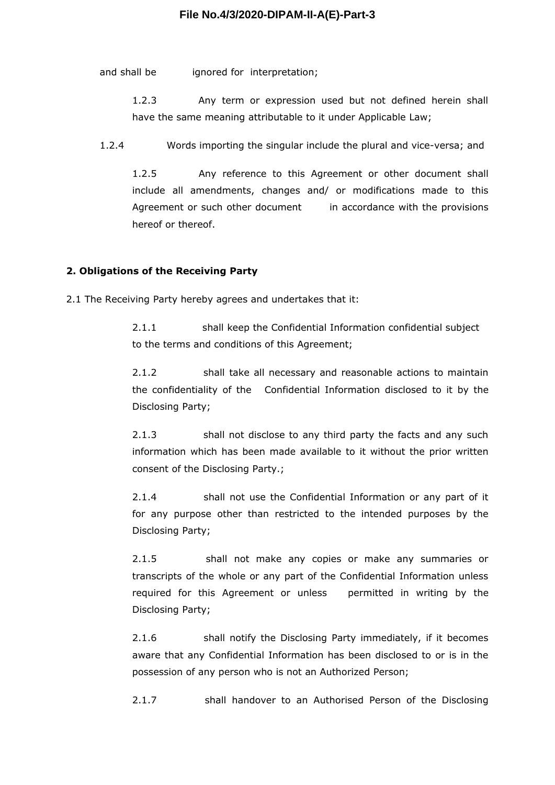and shall be ignored for interpretation;

1.2.3 Any term or expression used but not defined herein shall have the same meaning attributable to it under Applicable Law;

1.2.4 Words importing the singular include the plural and vice-versa; and

1.2.5 Any reference to this Agreement or other document shall include all amendments, changes and/ or modifications made to this Agreement or such other document in accordance with the provisions hereof or thereof.

### **2. Obligations of the Receiving Party**

2.1 The Receiving Party hereby agrees and undertakes that it:

2.1.1 shall keep the Confidential Information confidential subject to the terms and conditions of this Agreement;

2.1.2 shall take all necessary and reasonable actions to maintain the confidentiality of the Confidential Information disclosed to it by the Disclosing Party;

2.1.3 shall not disclose to any third party the facts and any such information which has been made available to it without the prior written consent of the Disclosing Party.;

2.1.4 shall not use the Confidential Information or any part of it for any purpose other than restricted to the intended purposes by the Disclosing Party;

2.1.5 shall not make any copies or make any summaries or transcripts of the whole or any part of the Confidential Information unless required for this Agreement or unless permitted in writing by the Disclosing Party;

2.1.6 Shall notify the Disclosing Party immediately, if it becomes aware that any Confidential Information has been disclosed to or is in the possession of any person who is not an Authorized Person;

2.1.7 shall handover to an Authorised Person of the Disclosing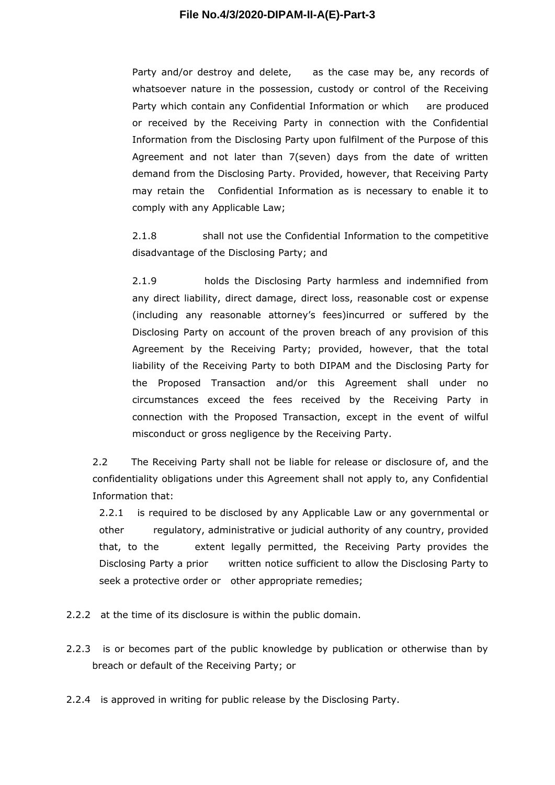Party and/or destroy and delete, as the case may be, any records of whatsoever nature in the possession, custody or control of the Receiving Party which contain any Confidential Information or which are produced or received by the Receiving Party in connection with the Confidential Information from the Disclosing Party upon fulfilment of the Purpose of this Agreement and not later than 7(seven) days from the date of written demand from the Disclosing Party. Provided, however, that Receiving Party may retain the Confidential Information as is necessary to enable it to comply with any Applicable Law;

2.1.8 shall not use the Confidential Information to the competitive disadvantage of the Disclosing Party; and

2.1.9 holds the Disclosing Party harmless and indemnified from any direct liability, direct damage, direct loss, reasonable cost or expense (including any reasonable attorney's fees)incurred or suffered by the Disclosing Party on account of the proven breach of any provision of this Agreement by the Receiving Party; provided, however, that the total liability of the Receiving Party to both DIPAM and the Disclosing Party for the Proposed Transaction and/or this Agreement shall under no circumstances exceed the fees received by the Receiving Party in connection with the Proposed Transaction, except in the event of wilful misconduct or gross negligence by the Receiving Party.

2.2 The Receiving Party shall not be liable for release or disclosure of, and the confidentiality obligations under this Agreement shall not apply to, any Confidential Information that:

2.2.1 is required to be disclosed by any Applicable Law or any governmental or other regulatory, administrative or judicial authority of any country, provided that, to the extent legally permitted, the Receiving Party provides the Disclosing Party a prior written notice sufficient to allow the Disclosing Party to seek a protective order or other appropriate remedies;

2.2.2 at the time of its disclosure is within the public domain.

2.2.3 is or becomes part of the public knowledge by publication or otherwise than by breach or default of the Receiving Party; or

2.2.4 is approved in writing for public release by the Disclosing Party.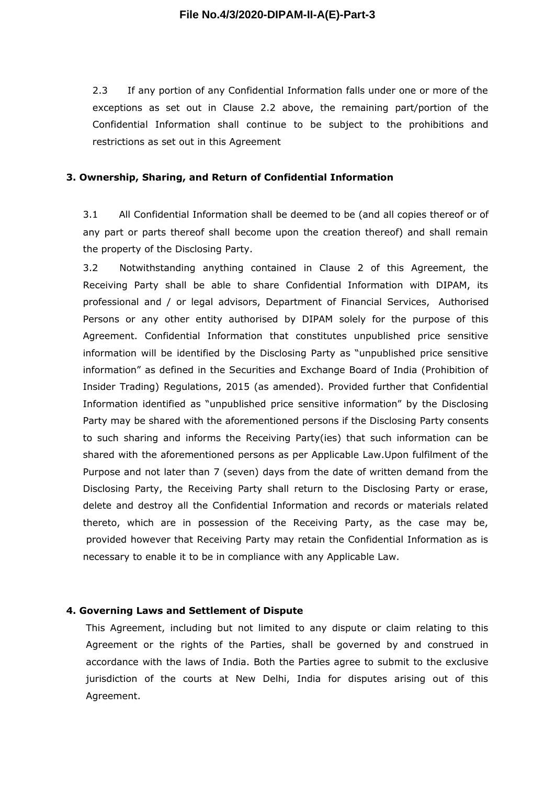2.3 If any portion of any Confidential Information falls under one or more of the exceptions as set out in Clause 2.2 above, the remaining part/portion of the Confidential Information shall continue to be subject to the prohibitions and restrictions as set out in this Agreement

#### **3. Ownership, Sharing, and Return of Confidential Information**

3.1 All Confidential Information shall be deemed to be (and all copies thereof or of any part or parts thereof shall become upon the creation thereof) and shall remain the property of the Disclosing Party.

3.2 Notwithstanding anything contained in Clause 2 of this Agreement, the Receiving Party shall be able to share Confidential Information with DIPAM, its professional and / or legal advisors, Department of Financial Services, Authorised Persons or any other entity authorised by DIPAM solely for the purpose of this Agreement. Confidential Information that constitutes unpublished price sensitive information will be identified by the Disclosing Party as "unpublished price sensitive information" as defined in the Securities and Exchange Board of India (Prohibition of Insider Trading) Regulations, 2015 (as amended). Provided further that Confidential Information identified as "unpublished price sensitive information" by the Disclosing Party may be shared with the aforementioned persons if the Disclosing Party consents to such sharing and informs the Receiving Party(ies) that such information can be shared with the aforementioned persons as per Applicable Law.Upon fulfilment of the Purpose and not later than 7 (seven) days from the date of written demand from the Disclosing Party, the Receiving Party shall return to the Disclosing Party or erase, delete and destroy all the Confidential Information and records or materials related thereto, which are in possession of the Receiving Party, as the case may be, provided however that Receiving Party may retain the Confidential Information as is necessary to enable it to be in compliance with any Applicable Law.

#### **4. Governing Laws and Settlement of Dispute**

This Agreement, including but not limited to any dispute or claim relating to this Agreement or the rights of the Parties, shall be governed by and construed in accordance with the laws of India. Both the Parties agree to submit to the exclusive jurisdiction of the courts at New Delhi, India for disputes arising out of this Agreement.